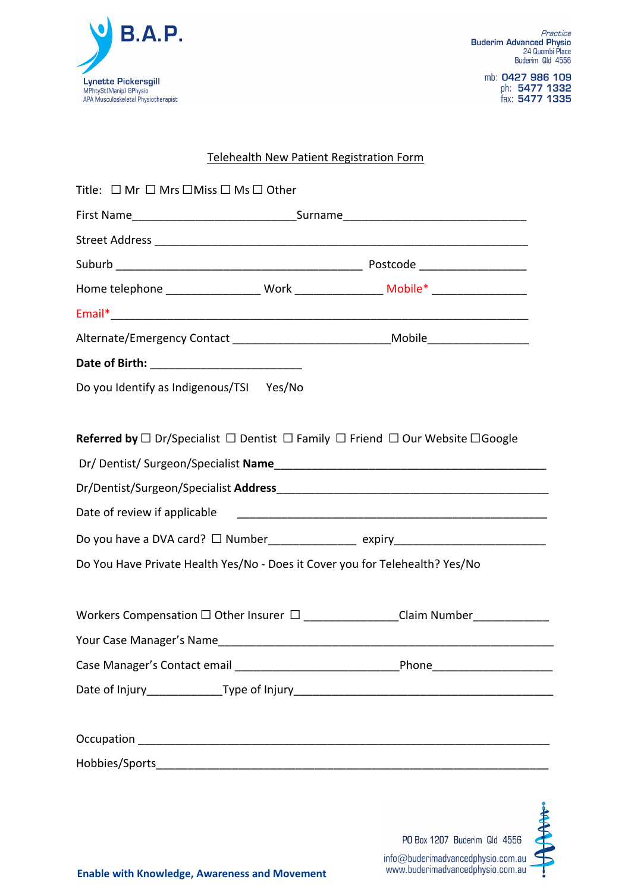

mb: 0427 986 109<br>ph: 5477 1332<br>fax: 5477 1335

### Telehealth New Patient Registration Form

| Title: $\Box$ Mr $\Box$ Mrs $\Box$ Miss $\Box$ Ms $\Box$ Other               |                                                                                                                     |
|------------------------------------------------------------------------------|---------------------------------------------------------------------------------------------------------------------|
|                                                                              |                                                                                                                     |
|                                                                              |                                                                                                                     |
|                                                                              |                                                                                                                     |
|                                                                              | Home telephone ____________________ Work _________________ Mobile* ______________                                   |
|                                                                              |                                                                                                                     |
|                                                                              | Alternate/Emergency Contact ________________________________Mobile______________                                    |
|                                                                              |                                                                                                                     |
| Do you Identify as Indigenous/TSI Yes/No                                     |                                                                                                                     |
|                                                                              |                                                                                                                     |
|                                                                              | <b>Referred by</b> $\Box$ Dr/Specialist $\Box$ Dentist $\Box$ Family $\Box$ Friend $\Box$ Our Website $\Box$ Google |
|                                                                              |                                                                                                                     |
|                                                                              |                                                                                                                     |
|                                                                              |                                                                                                                     |
|                                                                              | Do you have a DVA card? □ Number________________ expiry_________________________                                    |
| Do You Have Private Health Yes/No - Does it Cover you for Telehealth? Yes/No |                                                                                                                     |
|                                                                              |                                                                                                                     |
|                                                                              | Workers Compensation □ Other Insurer □ ______________Claim Number_____________                                      |
|                                                                              |                                                                                                                     |
|                                                                              |                                                                                                                     |
|                                                                              |                                                                                                                     |
|                                                                              |                                                                                                                     |
|                                                                              |                                                                                                                     |
|                                                                              |                                                                                                                     |
|                                                                              |                                                                                                                     |

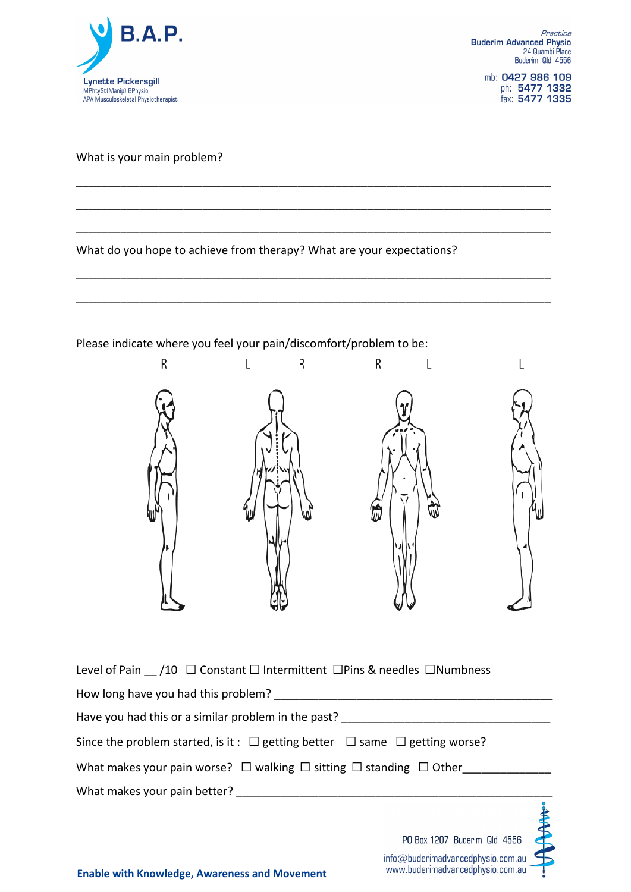

mb: 0427 986 109 ph: 5477 1332<br>fax: 5477 1335

### What is your main problem?

### What do you hope to achieve from therapy? What are your expectations?

\_\_\_\_\_\_\_\_\_\_\_\_\_\_\_\_\_\_\_\_\_\_\_\_\_\_\_\_\_\_\_\_\_\_\_\_\_\_\_\_\_\_\_\_\_\_\_\_\_\_\_\_\_\_\_\_\_\_\_\_\_\_\_\_\_\_\_\_\_\_\_\_\_\_\_

\_\_\_\_\_\_\_\_\_\_\_\_\_\_\_\_\_\_\_\_\_\_\_\_\_\_\_\_\_\_\_\_\_\_\_\_\_\_\_\_\_\_\_\_\_\_\_\_\_\_\_\_\_\_\_\_\_\_\_\_\_\_\_\_\_\_\_\_\_\_\_\_\_\_\_

\_\_\_\_\_\_\_\_\_\_\_\_\_\_\_\_\_\_\_\_\_\_\_\_\_\_\_\_\_\_\_\_\_\_\_\_\_\_\_\_\_\_\_\_\_\_\_\_\_\_\_\_\_\_\_\_\_\_\_\_\_\_\_\_\_\_\_\_\_\_\_\_\_\_\_

\_\_\_\_\_\_\_\_\_\_\_\_\_\_\_\_\_\_\_\_\_\_\_\_\_\_\_\_\_\_\_\_\_\_\_\_\_\_\_\_\_\_\_\_\_\_\_\_\_\_\_\_\_\_\_\_\_\_\_\_\_\_\_\_\_\_\_\_\_\_\_\_\_\_\_

\_\_\_\_\_\_\_\_\_\_\_\_\_\_\_\_\_\_\_\_\_\_\_\_\_\_\_\_\_\_\_\_\_\_\_\_\_\_\_\_\_\_\_\_\_\_\_\_\_\_\_\_\_\_\_\_\_\_\_\_\_\_\_\_\_\_\_\_\_\_\_\_\_\_\_

### Please indicate where you feel your pain/discomfort/problem to be:



|  | Level of Pain /10 $\Box$ Constant $\Box$ Intermittent $\Box$ Pins & needles $\Box$ Numbness |
|--|---------------------------------------------------------------------------------------------|
|--|---------------------------------------------------------------------------------------------|

| How long have you had this problem? |  |
|-------------------------------------|--|
|-------------------------------------|--|

Have you had this or a similar problem in the past? \_\_\_\_\_\_\_\_\_\_\_\_\_\_\_\_\_\_\_\_\_\_\_\_\_\_\_\_\_\_\_\_\_

| Since the problem started, is it : $\Box$ getting better $\Box$ same $\Box$ getting worse? |  |  |
|--------------------------------------------------------------------------------------------|--|--|

What makes your pain worse?  $\Box$  walking  $\Box$  sitting  $\Box$  standing  $\Box$  Other

What makes your pain better? \_\_\_\_\_\_\_\_\_\_\_\_\_\_\_\_\_\_\_\_\_\_\_\_\_\_\_\_\_\_\_\_\_\_\_\_\_\_\_\_\_\_\_\_\_\_\_\_\_\_

| PO Box 1207 Buderim Qld 4556                                          |  |
|-----------------------------------------------------------------------|--|
| info@buderimadvancedphysio.com.au<br>www.buderimadvancedphysio.com.au |  |

 $\sim$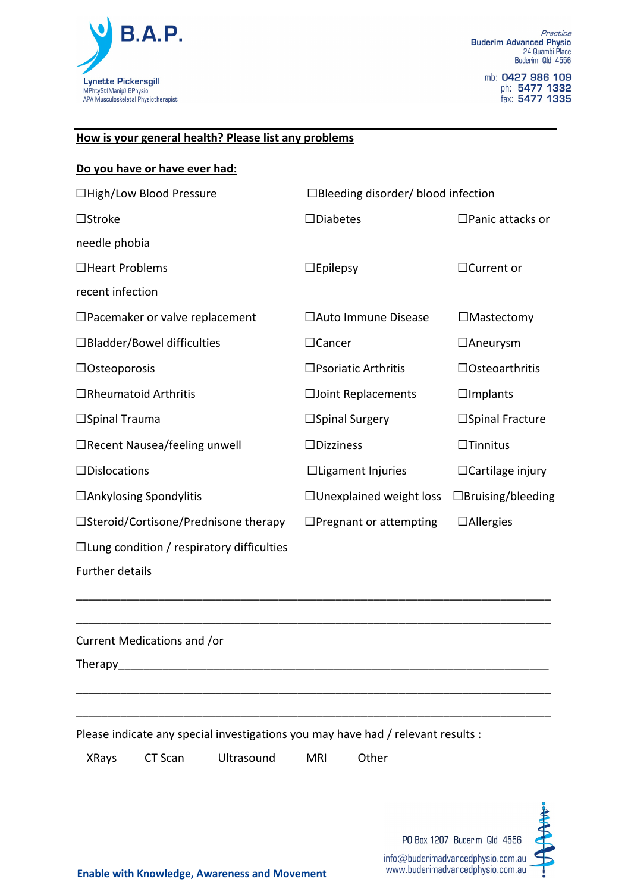

### **How is your general health? Please list any problems**

### **Do you have or have ever had:**

| □High/Low Blood Pressure                         | $\Box$ Bleeding disorder/ blood infection |                            |  |
|--------------------------------------------------|-------------------------------------------|----------------------------|--|
| $\Box$ Stroke                                    | $\square$ Diabetes                        | $\square$ Panic attacks or |  |
| needle phobia                                    |                                           |                            |  |
| $\Box$ Heart Problems                            | $\Box$ Epilepsy                           | $\Box$ Current or          |  |
| recent infection                                 |                                           |                            |  |
| $\square$ Pacemaker or valve replacement         | □Auto Immune Disease                      | $\Box$ Mastectomy          |  |
| $\Box$ Bladder/Bowel difficulties                | $\Box$ Cancer                             | $\Box$ Aneurysm            |  |
| $\Box$ Osteoporosis                              | $\square$ Psoriatic Arthritis             | $\Box$ Osteoarthritis      |  |
| $\Box$ Rheumatoid Arthritis                      | □Joint Replacements                       | $\Box$ Implants            |  |
| $\square$ Spinal Trauma                          | $\square$ Spinal Surgery                  | □Spinal Fracture           |  |
| □Recent Nausea/feeling unwell                    | $\Box$ Dizziness                          | $\Box$ Tinnitus            |  |
| $\Box$ Dislocations                              | $\Box$ Ligament Injuries                  | $\Box$ Cartilage injury    |  |
| $\Box$ Ankylosing Spondylitis                    | $\Box$ Unexplained weight loss            | $\Box$ Bruising/bleeding   |  |
| □Steroid/Cortisone/Prednisone therapy            | $\Box$ Pregnant or attempting             | $\Box$ Allergies           |  |
| $\Box$ Lung condition / respiratory difficulties |                                           |                            |  |

\_\_\_\_\_\_\_\_\_\_\_\_\_\_\_\_\_\_\_\_\_\_\_\_\_\_\_\_\_\_\_\_\_\_\_\_\_\_\_\_\_\_\_\_\_\_\_\_\_\_\_\_\_\_\_\_\_\_\_\_\_\_\_\_\_\_\_\_\_\_\_\_\_\_\_

\_\_\_\_\_\_\_\_\_\_\_\_\_\_\_\_\_\_\_\_\_\_\_\_\_\_\_\_\_\_\_\_\_\_\_\_\_\_\_\_\_\_\_\_\_\_\_\_\_\_\_\_\_\_\_\_\_\_\_\_\_\_\_\_\_\_\_\_\_\_\_\_\_\_\_

\_\_\_\_\_\_\_\_\_\_\_\_\_\_\_\_\_\_\_\_\_\_\_\_\_\_\_\_\_\_\_\_\_\_\_\_\_\_\_\_\_\_\_\_\_\_\_\_\_\_\_\_\_\_\_\_\_\_\_\_\_\_\_\_\_\_\_\_\_\_\_\_\_\_\_

\_\_\_\_\_\_\_\_\_\_\_\_\_\_\_\_\_\_\_\_\_\_\_\_\_\_\_\_\_\_\_\_\_\_\_\_\_\_\_\_\_\_\_\_\_\_\_\_\_\_\_\_\_\_\_\_\_\_\_\_\_\_\_\_\_\_\_\_\_\_\_\_\_\_\_

Further details

Current Medications and /or

Therapy\_\_\_\_\_\_\_\_\_\_\_\_\_\_\_\_\_\_\_\_\_\_\_\_\_\_\_\_\_\_\_\_\_\_\_\_\_\_\_\_\_\_\_\_\_\_\_\_\_\_\_\_\_\_\_\_\_\_\_\_\_\_\_\_\_\_\_\_

Please indicate any special investigations you may have had / relevant results :

XRays CT Scan Ultrasound MRI Other

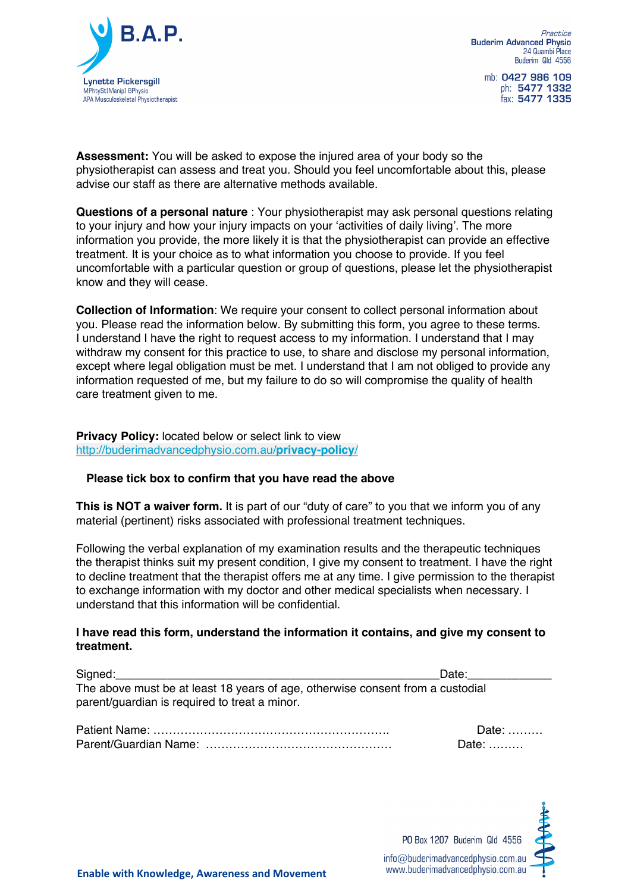

mb: 0427 986 109 ph: 5477 1332 fax: 5477 1335

**Assessment:** You will be asked to expose the injured area of your body so the physiotherapist can assess and treat you. Should you feel uncomfortable about this, please advise our staff as there are alternative methods available.

**Questions of a personal nature** : Your physiotherapist may ask personal questions relating to your injury and how your injury impacts on your 'activities of daily living'. The more information you provide, the more likely it is that the physiotherapist can provide an effective treatment. It is your choice as to what information you choose to provide. If you feel uncomfortable with a particular question or group of questions, please let the physiotherapist know and they will cease.

**Collection of Information**: We require your consent to collect personal information about you. Please read the information below. By submitting this form, you agree to these terms. I understand I have the right to request access to my information. I understand that I may withdraw my consent for this practice to use, to share and disclose my personal information, except where legal obligation must be met. I understand that I am not obliged to provide any information requested of me, but my failure to do so will compromise the quality of health care treatment given to me.

**Privacy Policy:** located below or select link to view http://buderimadvancedphysio.com.au/**privacy-policy**/

### **Please tick box to confirm that you have read the above**

**This is NOT a waiver form.** It is part of our "duty of care" to you that we inform you of any material (pertinent) risks associated with professional treatment techniques.

Following the verbal explanation of my examination results and the therapeutic techniques the therapist thinks suit my present condition, I give my consent to treatment. I have the right to decline treatment that the therapist offers me at any time. I give permission to the therapist to exchange information with my doctor and other medical specialists when necessary. I understand that this information will be confidential.

#### **I have read this form, understand the information it contains, and give my consent to treatment.**

| Signed:                                                                        | Date: |
|--------------------------------------------------------------------------------|-------|
| The above must be at least 18 years of age, otherwise consent from a custodial |       |
| parent/guardian is required to treat a minor.                                  |       |

Date: ……… Date: ………

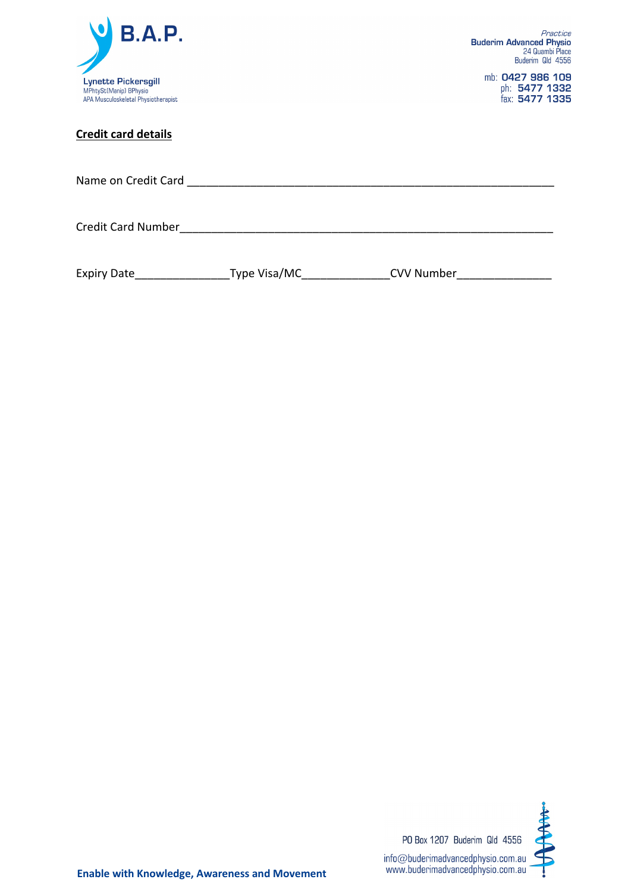

mb: 0427 986 109<br>ph: 5477 1332<br>fax: 5477 1335

### **Credit card details**

| Name on Credit Card and the control of the control of the control of the control of the control of the control of the control of the control of the control of the control of the control of the control of the control of the |  |  |  |
|--------------------------------------------------------------------------------------------------------------------------------------------------------------------------------------------------------------------------------|--|--|--|
| <b>Credit Card Number</b>                                                                                                                                                                                                      |  |  |  |
|                                                                                                                                                                                                                                |  |  |  |

| <b>Expiry Date</b> | Type Visa/MC | <b>CVV Number</b> |
|--------------------|--------------|-------------------|
|--------------------|--------------|-------------------|

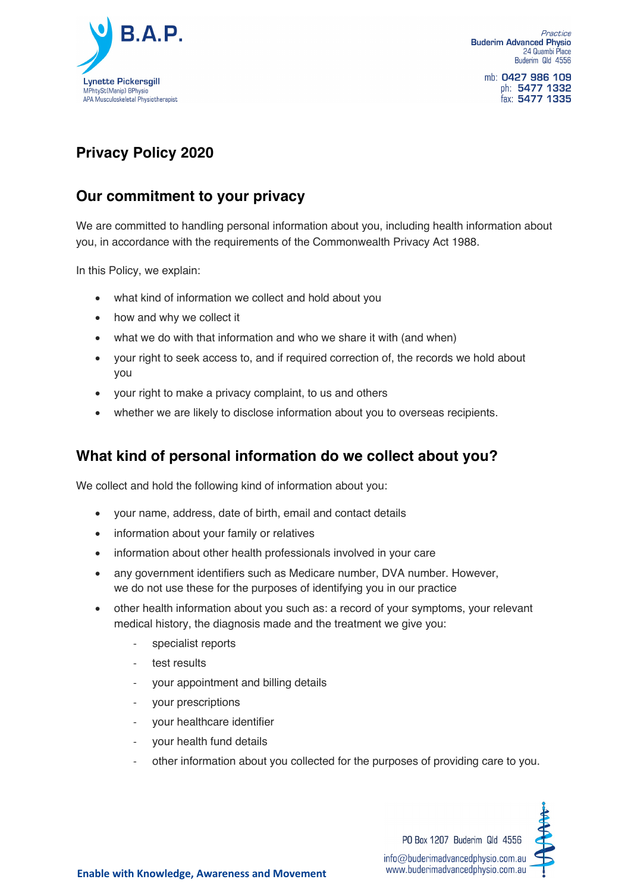

Practice **Buderim Advanced Physio** 24 Quambi Place Buderim Qld 4556

mb: 0427 986 109 ph: 5477 1332 fax: 5477 1335

# **Privacy Policy 2020**

## **Our commitment to your privacy**

We are committed to handling personal information about you, including health information about you, in accordance with the requirements of the Commonwealth Privacy Act 1988.

In this Policy, we explain:

- what kind of information we collect and hold about you
- how and why we collect it
- what we do with that information and who we share it with (and when)
- your right to seek access to, and if required correction of, the records we hold about you
- your right to make a privacy complaint, to us and others
- whether we are likely to disclose information about you to overseas recipients.

### **What kind of personal information do we collect about you?**

We collect and hold the following kind of information about you:

- your name, address, date of birth, email and contact details
- information about your family or relatives
- information about other health professionals involved in your care
- any government identifiers such as Medicare number, DVA number. However, we do not use these for the purposes of identifying you in our practice
- other health information about you such as: a record of your symptoms, your relevant medical history, the diagnosis made and the treatment we give you:
	- specialist reports
	- test results
	- your appointment and billing details
	- your prescriptions
	- your healthcare identifier
	- vour health fund details
	- other information about you collected for the purposes of providing care to you.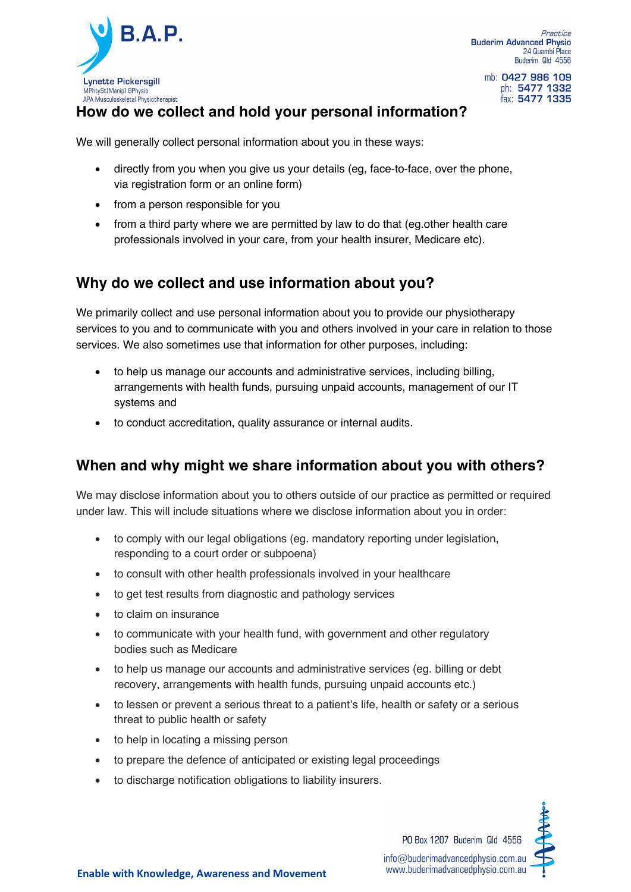

mb: 0427 986 109 ph: 5477 1332 fax: 5477 1335

### **How do we collect and hold your personal information?**

We will generally collect personal information about you in these ways:

- directly from you when you give us your details (eg, face-to-face, over the phone, via registration form or an online form)
- from a person responsible for you
- from a third party where we are permitted by law to do that (eg.other health care professionals involved in your care, from your health insurer, Medicare etc).

### **Why do we collect and use information about you?**

We primarily collect and use personal information about you to provide our physiotherapy services to you and to communicate with you and others involved in your care in relation to those services. We also sometimes use that information for other purposes, including:

- to help us manage our accounts and administrative services, including billing, arrangements with health funds, pursuing unpaid accounts, management of our IT systems and
- to conduct accreditation, quality assurance or internal audits.

### **When and why might we share information about you with others?**

We may disclose information about you to others outside of our practice as permitted or required under law. This will include situations where we disclose information about you in order:

- to comply with our legal obligations (eg. mandatory reporting under legislation, responding to a court order or subpoena)
- to consult with other health professionals involved in your healthcare
- to get test results from diagnostic and pathology services
- to claim on insurance
- to communicate with your health fund, with government and other regulatory bodies such as Medicare
- to help us manage our accounts and administrative services (eg. billing or debt recovery, arrangements with health funds, pursuing unpaid accounts etc.)
- to lessen or prevent a serious threat to a patient's life, health or safety or a serious threat to public health or safety
- to help in locating a missing person
- to prepare the defence of anticipated or existing legal proceedings
- to discharge notification obligations to liability insurers.

PO Box 1207 Buderim Qld 4556 info@buderimadvancedphysio.com.au www.buderimadvancedphysio.com.au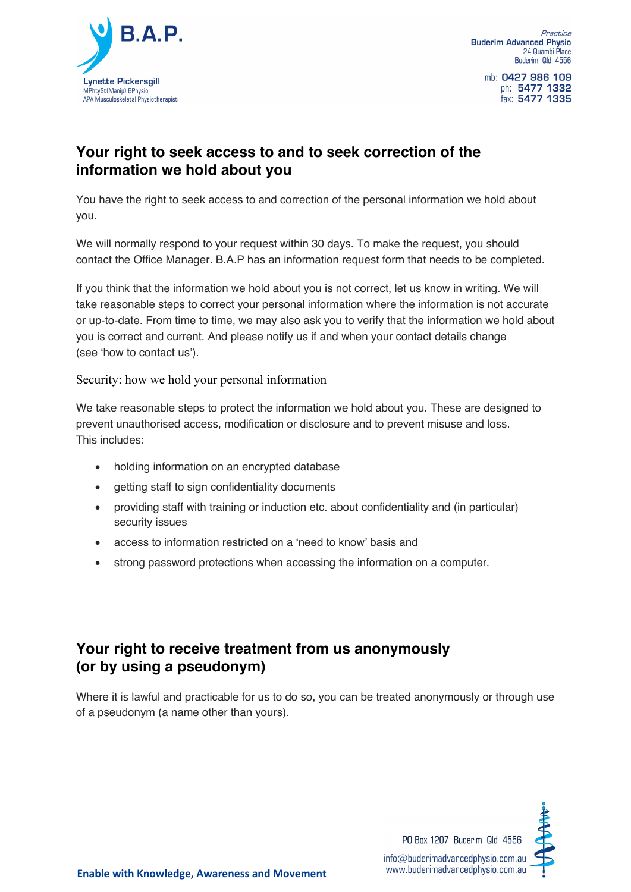

mb: 0427 986 109 ph: 5477 1332 fax: 5477 1335

## **Your right to seek access to and to seek correction of the information we hold about you**

You have the right to seek access to and correction of the personal information we hold about you.

We will normally respond to your request within 30 days. To make the request, you should contact the Office Manager. B.A.P has an information request form that needs to be completed.

If you think that the information we hold about you is not correct, let us know in writing. We will take reasonable steps to correct your personal information where the information is not accurate or up-to-date. From time to time, we may also ask you to verify that the information we hold about you is correct and current. And please notify us if and when your contact details change (see 'how to contact us').

Security: how we hold your personal information

We take reasonable steps to protect the information we hold about you. These are designed to prevent unauthorised access, modification or disclosure and to prevent misuse and loss. This includes:

- holding information on an encrypted database
- getting staff to sign confidentiality documents
- providing staff with training or induction etc. about confidentiality and (in particular) security issues
- access to information restricted on a 'need to know' basis and
- strong password protections when accessing the information on a computer.

## **Your right to receive treatment from us anonymously (or by using a pseudonym)**

Where it is lawful and practicable for us to do so, you can be treated anonymously or through use of a pseudonym (a name other than yours).